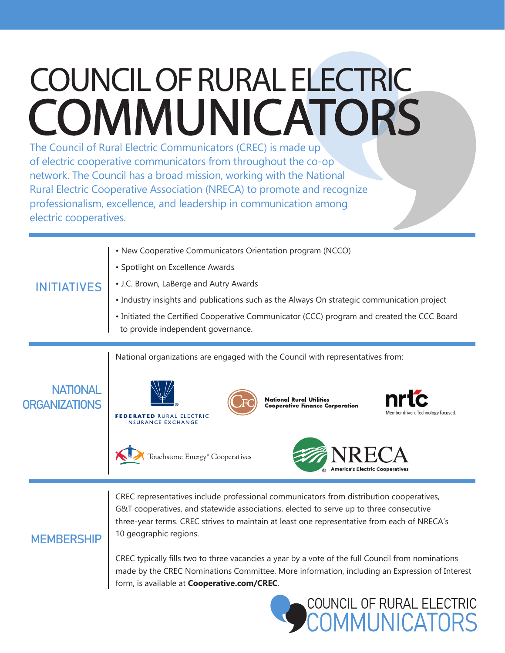## COUNCIL OF RURAL ELECTRIC **COMMUNICATORS**

The Council of Rural Electric Communicators (CREC) is made up of electric cooperative communicators from throughout the co-op network. The Council has a broad mission, working with the National Rural Electric Cooperative Association (NRECA) to promote and recognize professionalism, excellence, and leadership in communication among electric cooperatives.

**MEMBERSHIP** 

| <b>ITIATIVES</b>                        | • New Cooperative Communicators Orientation program (NCCO)                                                                                                                                     |
|-----------------------------------------|------------------------------------------------------------------------------------------------------------------------------------------------------------------------------------------------|
|                                         | • Spotlight on Excellence Awards                                                                                                                                                               |
|                                         | • J.C. Brown, LaBerge and Autry Awards                                                                                                                                                         |
|                                         | • Industry insights and publications such as the Always On strategic communication project                                                                                                     |
|                                         | • Initiated the Certified Cooperative Communicator (CCC) program and created the CCC Board<br>to provide independent governance.                                                               |
|                                         | National organizations are engaged with the Council with representatives from:                                                                                                                 |
| <b>NATIONAL</b><br><b>ORGANIZATIONS</b> | <b>nrtc</b><br><b>National Rural Utilities</b><br><b>Cooperative Finance Corporation</b><br>Member driven. Technology focused.<br><b>FEDERATED RURAL ELECTRIC</b><br><b>INSURANCE EXCHANGE</b> |
|                                         | Touchstone Energy <sup>®</sup> Cooperatives                                                                                                                                                    |

CREC representatives include professional communicators from distribution cooperatives, G&T cooperatives, and statewide associations, elected to serve up to three consecutive three-year terms. CREC strives to maintain at least one representative from each of NRECA's 10 geographic regions.

## CREC typically fills two to three vacancies a year by a vote of the full Council from nominations made by the CREC Nominations Committee. More information, including an Expression of Interest form, is available at **Cooperative.com/CREC**.



**TAIZT** 

**America's Electric Cooperatives**